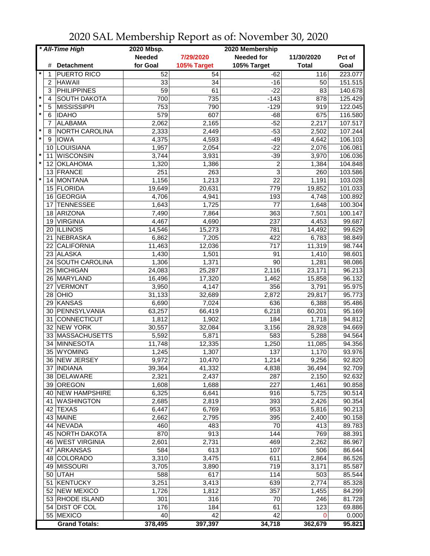| * All-Time High |                |                      | 2020 Mbsp.    | 2020 Membership |                         |              |         |
|-----------------|----------------|----------------------|---------------|-----------------|-------------------------|--------------|---------|
|                 |                |                      | <b>Needed</b> | 7/29/2020       | <b>Needed for</b>       | 11/30/2020   | Pct of  |
|                 | #              | <b>Detachment</b>    | for Goal      | 105% Target     | 105% Target             | <b>Total</b> | Goal    |
| *               | 1              | <b>PUERTO RICO</b>   | 52            | 54              | $-62$                   | 116          | 223.077 |
|                 | $\overline{c}$ | <b>HAWAII</b>        | 33            | 34              | $-16$                   | 50           | 151.515 |
|                 | 3              | <b>PHILIPPINES</b>   | 59            | 61              | $-22$                   | 83           | 140.678 |
| $\star$         | $\overline{4}$ | <b>SOUTH DAKOTA</b>  | 700           | 735             | $-143$                  | 878          | 125.429 |
| $\star$         | 5              | <b>MISSISSIPPI</b>   | 753           | 790             | $-129$                  | 919          | 122.045 |
| $\star$         | $\,6$          | <b>IDAHO</b>         | 579           | 607             | $-68$                   | 675          | 116.580 |
|                 | 7              | <b>ALABAMA</b>       | 2,062         | 2,165           | $-52$                   | 2,217        | 107.517 |
| $\star$         | 8              | NORTH CAROLINA       | 2,333         | 2,449           | $-53$                   | 2,502        | 107.244 |
| $\star$         | 9              | <b>IOWA</b>          | 4,375         | 4,593           | $-49$                   | 4,642        | 106.103 |
|                 | 10             | LOUISIANA            | 1,957         | 2,054           | $-22$                   | 2,076        | 106.081 |
| $\star$         | 11             | <b>WISCONSIN</b>     | 3,744         | 3,931           | $-39$                   | 3,970        | 106.036 |
| $\star$         | 12             | <b>OKLAHOMA</b>      | 1,320         | 1,386           | $\overline{\mathbf{c}}$ | 1,384        | 104.848 |
|                 | 13             | FRANCE               | 251           | 263             | 3                       | 260          | 103.586 |
| $\star$         | 14             | <b>MONTANA</b>       | 1,156         | 1,213           | 22                      | 1,191        | 103.028 |
|                 |                | 15 FLORIDA           | 19,649        | 20,631          | 779                     | 19,852       | 101.033 |
|                 | 16             | GEORGIA              | 4,706         | 4,941           | 193                     | 4,748        | 100.892 |
|                 | 17             | <b>TENNESSEE</b>     | 1,643         | 1,725           | 77                      | 1,648        | 100.304 |
|                 | 18             | ARIZONA              | 7,490         | 7,864           | 363                     | 7,501        | 100.147 |
|                 | 19             | <b>VIRGINIA</b>      | 4,467         | 4,690           | 237                     | 4,453        | 99.687  |
|                 | 20             | <b>ILLINOIS</b>      | 14,546        | 15,273          | 781                     | 14,492       | 99.629  |
|                 | 21             | <b>NEBRASKA</b>      | 6,862         | 7,205           | 422                     | 6,783        | 98.849  |
|                 | 22             | <b>CALIFORNIA</b>    | 11,463        | 12,036          | 717                     | 11,319       | 98.744  |
|                 |                | 23 ALASKA            | 1,430         | 1,501           | 91                      | 1,410        | 98.601  |
|                 |                | 24 SOUTH CAROLINA    | 1,306         | 1,371           | $\overline{90}$         | 1,281        | 98.086  |
|                 |                | 25 MICHIGAN          | 24,083        | 25,287          | 2,116                   | 23,171       | 96.213  |
|                 |                | 26 MARYLAND          | 16,496        | 17,320          | 1,462                   | 15,858       | 96.132  |
|                 | 27             | <b>VERMONT</b>       | 3,950         | 4,147           | 356                     | 3,791        | 95.975  |
|                 |                | 28   OHIO            | 31,133        | 32,689          | 2,872                   | 29,817       | 95.773  |
|                 |                | 29 KANSAS            | 6,690         | 7,024           | 636                     | 6,388        | 95.486  |
|                 | 30             | PENNSYLVANIA         | 63,257        | 66,419          | 6,218                   | 60,201       | 95.169  |
|                 | 31             | <b>CONNECTICUT</b>   | 1,812         | 1,902           | 184                     | 1,718        | 94.812  |
|                 |                | 32 NEW YORK          | 30,557        | 32,084          | 3,156                   | 28,928       | 94.669  |
|                 |                | 33 MASSACHUSETTS     | 5,592         | 5,871           | 583                     | 5,288        | 94.564  |
|                 | 34             | <b>MINNESOTA</b>     | 11,748        | 12,335          | 1,250                   | 11,085       | 94.356  |
|                 | 35             | WYOMING              | 1,245         | 1,307           | 137                     | 1,170        | 93.976  |
|                 |                | 36  NEW JERSEY       | 9,972         | 10,470          | 1,214                   | 9,256        | 92.820  |
|                 |                | 37 INDIANA           | 39,364        | 41,332          | 4,838                   | 36,494       | 92.709  |
|                 |                | 38 DELAWARE          | 2,321         | 2,437           | 287                     | 2,150        | 92.632  |
|                 |                | 39 OREGON            | 1,608         | 1,688           | 227                     | 1,461        | 90.858  |
|                 |                | 40 NEW HAMPSHIRE     | 6,325         | 6,641           | 916                     | 5,725        | 90.514  |
|                 |                | 41   WASHINGTON      | 2,685         | 2,819           | 393                     | 2,426        | 90.354  |
|                 |                | 42 TEXAS             | 6,447         | 6,769           | 953                     | 5,816        | 90.213  |
|                 |                | 43 MAINE             | 2,662         | 2,795           | 395                     | 2,400        | 90.158  |
|                 |                | 44 NEVADA            | 460           | 483             | 70                      | 413          | 89.783  |
|                 |                | 45 NORTH DAKOTA      | 870           | 913             | 144                     | 769          | 88.391  |
|                 |                | 46 WEST VIRGINIA     | 2,601         | 2,731           | 469                     | 2,262        | 86.967  |
|                 |                | 47 ARKANSAS          | 584           | 613             | 107                     | 506          | 86.644  |
|                 |                | 48 COLORADO          | 3,310         | 3,475           | 611                     | 2,864        | 86.526  |
|                 |                | 49 MISSOURI          | 3,705         | 3,890           | 719                     | 3,171        | 85.587  |
|                 |                | 50 UTAH              | 588           | 617             | 114                     | 503          | 85.544  |
|                 |                | 51 KENTUCKY          | 3,251         | 3,413           | 639                     | 2,774        | 85.328  |
|                 |                | 52 NEW MEXICO        | 1,726         | 1,812           | 357                     | 1,455        | 84.299  |
|                 |                | 53 RHODE ISLAND      | 301           | 316             | 70                      | 246          | 81.728  |
|                 |                | 54 DIST OF COL       | 176           | 184             | 61                      | 123          | 69.886  |
|                 |                | 55 MEXICO            | 40            | 42              | 42                      | 0            | 0.000   |
|                 |                | <b>Grand Totals:</b> | 378,495       | 397,397         | 34,718                  | 362,679      | 95.821  |

2020 SAL Membership Report as of: November 30, 2020